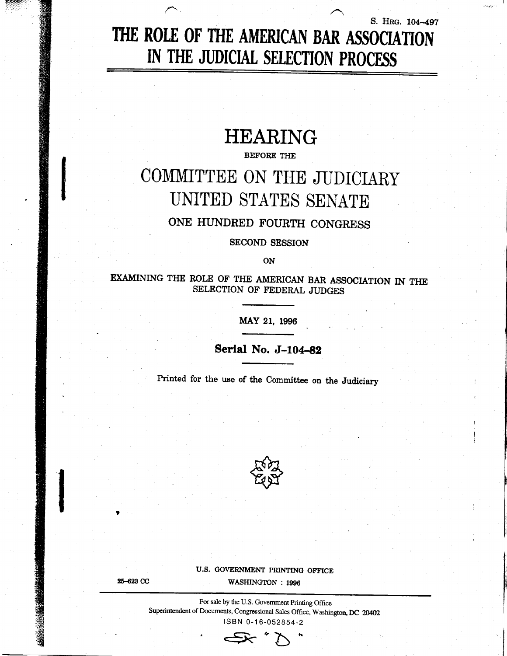# S. HRG. 104-497 THE ROLE OF THE AMERICAN BAR ASSOCIATION IN THE JUDICIAL SELECTION PROCESS

# **HEARING**

#### **BEFORE THE**

# COMMITTEE ON THE JUDICIARY UNITED STATES SENATE

## ONE HUNDRED FOURTH CONGRESS

**SECOND SESSION** 

ON

EXAMINING THE ROLE OF THE AMERICAN BAR ASSOCIATION IN THE SELECTION OF FEDERAL JUDGES

MAY 21, 1996

## Serial No. J-104-82

Printed for the use of the Committee on the Judiciary



U.S. GOVERNMENT PRINTING OFFICE

25-623 CC

WASHINGTON : 1996

For sale by the U.S. Government Printing Office Superintendent of Documents, Congressional Sales Office, Washington, DC 20402 ISBN 0-16-052854-2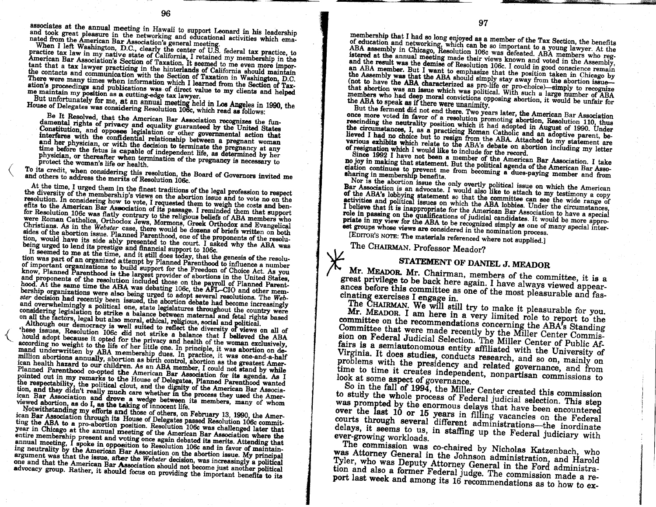associates at the annual meeting in Hawaii to support Leonard in his leadership and took great pleasure in the networking and educational activities which emamated from the American Bar Association's general meeting.<br>When I left Washington, D.C., clearly the center of U.S. federal tax practice, to

practice tax law in my native state of California, I retained my membership in the American Bar Association's Section of Taxation. It seemed to me even more important that a tax lawyer practicing in the hinterlands of California should maintain the contacts and communication with the Section of Taxation in Washington, D.C. There were many times when information which I learned from the Section of Taxation's proceedings and publications was of direct value to my clients and helped me maintain my position as a cutting-edge tax lawyer.

But unfortunately for me, at an annual meeting held in Los Angeles in 1990, the House of Delegates was considering Resolution 106c, which read as follows:

Be It Resolved, that the American Bar Association recognizes the fundamental rights of privacy and equality guaranteed by the United States Constitution, and opposes legislation or other governmental action that interferes with the confidential relationship between a pregnant woman and her physician, or with the decision to terminate the pregnancy at any time before the fetus is capable of independent life, as determined by her physician, or thereafter when termination of the pregnancy is necessary to protect the woman's life or health.

To its credit, when considering this resolution, the Board of Governors invited me and others to address the merits of Resolution 106c.

At the time, I urged them in the finest traditions of the legal profession to respect the diversity of the membership's views on the abortion issue and to vote no on the resolution. In considering how to vote, I requested them to weigh the costs and benresolution. In considering now to youe, i requested them to weight and you allow the American Bar Association of its passage. I reminded them that support for Resolution 106c was flatly contrary to the religious beliefs of were Roman Catholics, Orthodox Jews, Mormons, Greek Orthodox and Evangelical Christians. As in the Webster case, there would be dozens of briefs written on both sides of the abortion issue. Planned Parenthood, one of the proponents of the resolution, would have its side ably presented to the court. I asked why the ABA was being urged to lend its prestige and financial support to 106c.

It seemed to me at the time, and it still does today, that the genesis of the resolution was part of an organized attempt by Planned Parenthood to influence a number of important organizations to build support for the Freedom of Choice Act. As you know, Planned Parenthood is the largest provider of abortions in the United States, and proponents of the resolution included those on the payroll of Planned Parenthood. At the same time the ABA was debating 106c, the AFL-CIO and other membership organizations were also being urged to adopt several resolutions. The Webster decision had recently been issued, the abortion debate had become increasingly and overwhelmingly a political one, state legislatures throughout the country were considering legislation to strike a balance between maternal and fetal rights based on all the factors, legal but also moral, ethical, religious, social and political.

Although our democracy is well suited to reflect the diversity of views on all of these issues, Resolution 106c did not strike a balance that I believed the ABA hould adopt because it opted for the privacy and health of the woman exclusively, according no weight to the life of her little one. In principle, it was abortion on demand underwritten by ABA membership dues. In practice, it was one-and-a-half million abortions annually, abortion as birth control, abortion as the greatest American health hazard to our children. As an ABA member, I could not stand by while Planned Parenthood co-opted the American Bar Association for its agenda. As I pointed out in my remarks to the House of Delegates, Planned Parenthood wanted the respectability, the political clout, and the dignity of the American Bar Association, and they didn't really much care whether in the process they used the American Bar Association and drove a wedge between its members, many of whom viewed abortion, as do I, as the taking of innocent life.

Notwithstanding my efforts and those of others, on February 13, 1990, the American Bar Association through its House of Delegates passed Resolution 106c committing the ABA to a pro-abortion position. Resolution 106c was challenged later that year in Chicago at the annual meeting of the American Bar Association where the entire membership present and voting once again debated its merits. Attending that annual meeting, I spoke in opposition to Resolution 106c and in favor of maintaining neutrality by the American Bar Association on the abortion issue. My principal argument was that the issue, after the Webster decision, was increasingly a political one and that the American Bar Association should not become just another political advocacy group. Rather, it should focus on providing the important benefits to its

members who had deep moral convictions opposing abortion, it would be unfair for the ABA to speak as if there were unanimity.

But the ferment did not end there. Two years later, the American Bar Association once more voted in favor of a resolution promoting abortion, Resolution 110, thus rescinding the neutrality position which it had adopted in August of 1990. Under the circumstances, I, as a practicing Roman Catholic and an adoptive parent, believed I had no choice but to resign from the ABA. Attached to my statement are various exhibits which relate to the ABA's debate on abortion including my letter of resignation which I would like to include for the record.

Since 1992 I have not been a member of the American Bar Association. I take no joy in making that statement. But the political agenda of the American Bar Association continues to prevent me from becoming a dues-paying member and from sharing in membership benefits.

Nor is the abortion issue the only overtly political issue on which the American Bar Association is an advocate. I would also like to attach to my testimony a copy of the ABA's lobbying statement so that the committee can see the wide range of activities and political issues on which the ABA lobbies. Under the circumstances, I believe that it is inappropriate for the American Bar Association to have a special role in passing on the qualifications of judicial candidates. It would be more appropriate in my view for the ABA to be recognized simply as one of many special interest groups whose views are considered in the nomination process.

[EDITOR'S NOTE: The materials referenced where not supplied.]

The CHAIRMAN. Professor Meador?

## STATEMENT OF DANIEL J. MEADOR

Mr. MEADOR. Mr. Chairman, members of the committee, it is a great privilege to be back here again. I have always viewed appearances before this committee as one of the most pleasurable and fascinating exercises I engage in.

The CHAIRMAN. We will still try to make it pleasurable for you. Mr. MEADOR. I am here in a very limited role to report to the committee on the recommendations concerning the ABA's Standing Committee that were made recently by the Miller Center Commission on Federal Judicial Selection. The Miller Center of Public Affairs is a semiautonomous entity affiliated with the University of Virginia. It does studies, conducts research, and so on, mainly on problems with the presidency and related governance, and from time to time it creates independent, nonpartisan commissions to look at some aspect of governance.

So in the fall of 1994, the Miller Center created this commission to study the whole process of Federal judicial selection. This step was prompted by the enormous delays that have been encountered over the last 10 or 15 years in filling vacancies on the Federal courts through several different administrations—the inordinate delays, it seems to us, in staffing up the Federal judiciary with ever-growing workloads.

The commission was co-chaired by Nicholas Katzenbach, who was Attorney General in the Johnson administration, and Harold Tyler, who was Deputy Attorney General in the Ford administration and also a former Federal judge. The commission made a report last week and among its 16 recommendations as to how to ex-